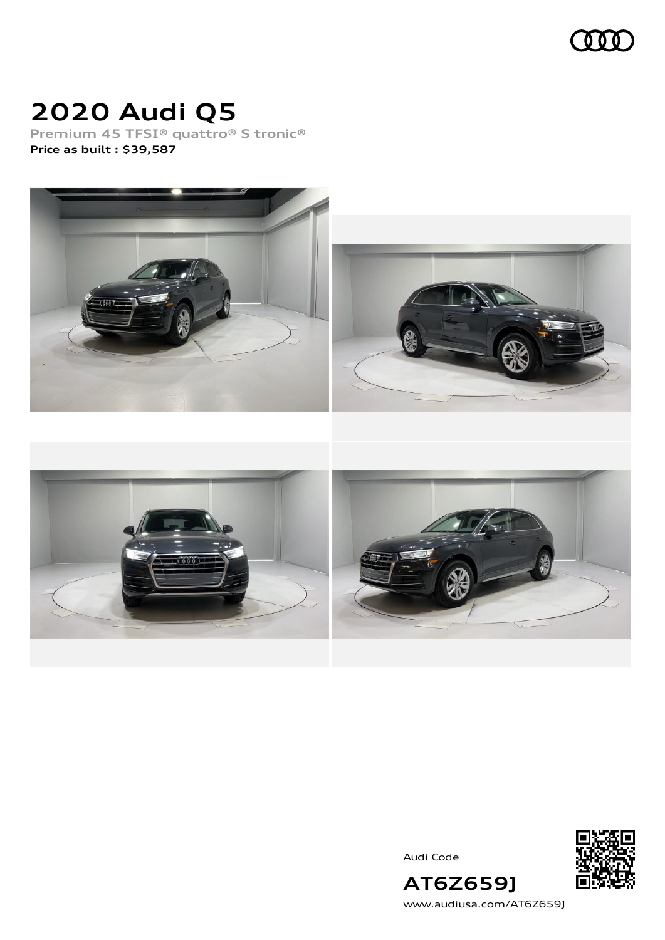

# **2020 Audi Q5**

**Premium 45 TFSI® quattro® S tronic® Price as built [:](#page-8-0) \$39,587**



Audi Code



**AT6Z659J** [www.audiusa.com/AT6Z659J](https://www.audiusa.com/AT6Z659J)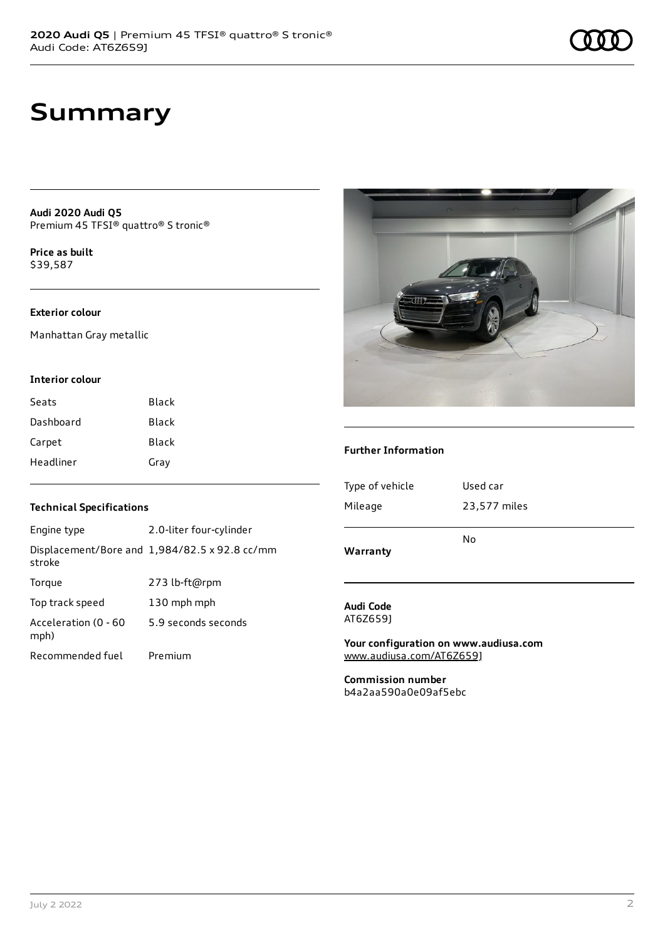## **Summary**

**Audi 2020 Audi Q5** Premium 45 TFSI® quattro® S tronic®

**Price as buil[t](#page-8-0)** \$39,587

### **Exterior colour**

Manhattan Gray metallic

#### **Interior colour**

| Seats     | Black |
|-----------|-------|
| Dashboard | Black |
| Carpet    | Black |
| Headliner | Gray  |

### **Technical Specifications**

| Engine type                  | 2.0-liter four-cylinder                              |
|------------------------------|------------------------------------------------------|
| stroke                       | Displacement/Bore and $1,984/82.5 \times 92.8$ cc/mm |
| Torque                       | 273 lb-ft@rpm                                        |
| Top track speed              | 130 mph mph                                          |
| Acceleration (0 - 60<br>mph) | 5.9 seconds seconds                                  |
| Recommended fuel             | Premium                                              |



#### **Further Information**

| Warranty        | No           |
|-----------------|--------------|
| Mileage         | 23,577 miles |
| Type of vehicle | Used car     |
|                 |              |

#### **Audi Code** AT6Z659J

**Your configuration on www.audiusa.com** [www.audiusa.com/AT6Z659J](https://www.audiusa.com/AT6Z659J)

**Commission number** b4a2aa590a0e09af5ebc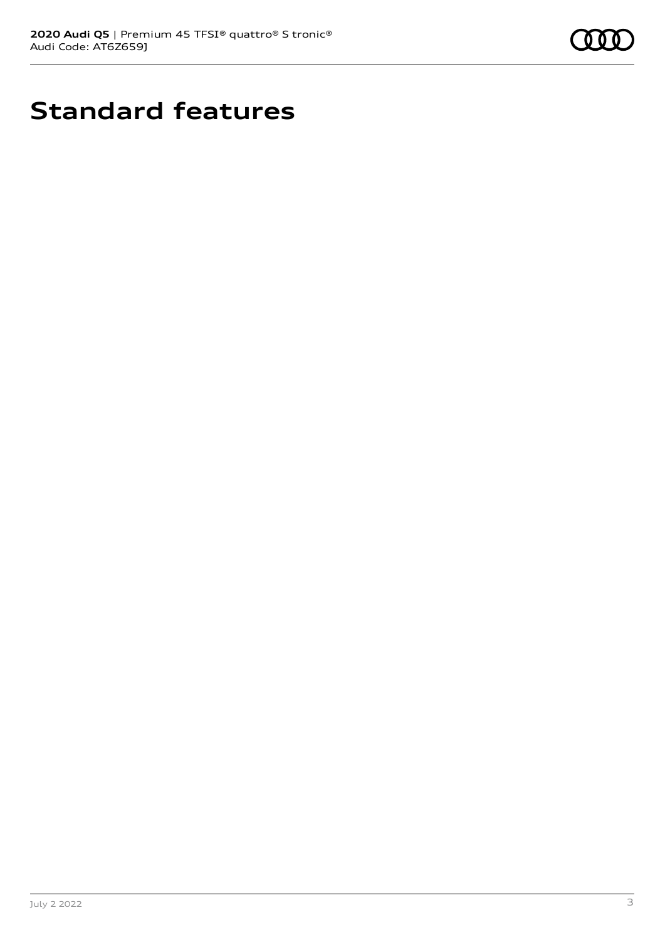

# **Standard features**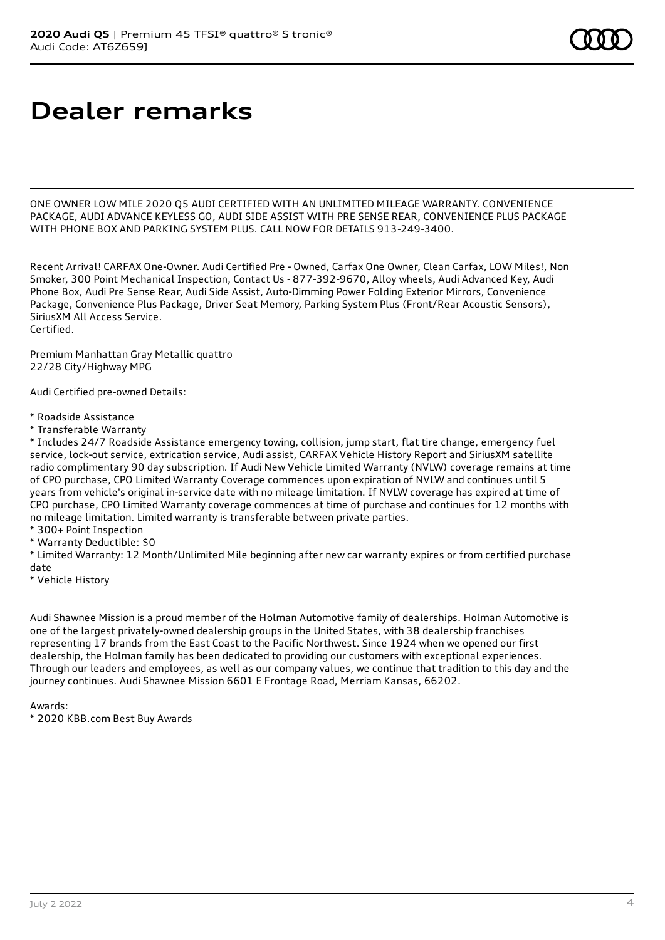# **Dealer remarks**

ONE OWNER LOW MILE 2020 Q5 AUDI CERTIFIED WITH AN UNLIMITED MILEAGE WARRANTY. CONVENIENCE PACKAGE, AUDI ADVANCE KEYLESS GO, AUDI SIDE ASSIST WITH PRE SENSE REAR, CONVENIENCE PLUS PACKAGE WITH PHONE BOX AND PARKING SYSTEM PLUS. CALL NOW FOR DETAILS 913-249-3400.

Recent Arrival! CARFAX One-Owner. Audi Certified Pre - Owned, Carfax One Owner, Clean Carfax, LOW Miles!, Non Smoker, 300 Point Mechanical Inspection, Contact Us - 877-392-9670, Alloy wheels, Audi Advanced Key, Audi Phone Box, Audi Pre Sense Rear, Audi Side Assist, Auto-Dimming Power Folding Exterior Mirrors, Convenience Package, Convenience Plus Package, Driver Seat Memory, Parking System Plus (Front/Rear Acoustic Sensors), SiriusXM All Access Service. Certified.

Premium Manhattan Gray Metallic quattro 22/28 City/Highway MPG

Audi Certified pre-owned Details:

- \* Roadside Assistance
- \* Transferable Warranty

\* Includes 24/7 Roadside Assistance emergency towing, collision, jump start, flat tire change, emergency fuel service, lock-out service, extrication service, Audi assist, CARFAX Vehicle History Report and SiriusXM satellite radio complimentary 90 day subscription. If Audi New Vehicle Limited Warranty (NVLW) coverage remains at time of CPO purchase, CPO Limited Warranty Coverage commences upon expiration of NVLW and continues until 5 years from vehicle's original in-service date with no mileage limitation. If NVLW coverage has expired at time of CPO purchase, CPO Limited Warranty coverage commences at time of purchase and continues for 12 months with no mileage limitation. Limited warranty is transferable between private parties.

- \* 300+ Point Inspection
- \* Warranty Deductible: \$0

\* Limited Warranty: 12 Month/Unlimited Mile beginning after new car warranty expires or from certified purchase date

\* Vehicle History

Audi Shawnee Mission is a proud member of the Holman Automotive family of dealerships. Holman Automotive is one of the largest privately-owned dealership groups in the United States, with 38 dealership franchises representing 17 brands from the East Coast to the Pacific Northwest. Since 1924 when we opened our first dealership, the Holman family has been dedicated to providing our customers with exceptional experiences. Through our leaders and employees, as well as our company values, we continue that tradition to this day and the journey continues. Audi Shawnee Mission 6601 E Frontage Road, Merriam Kansas, 66202.

Awards:

\* 2020 KBB.com Best Buy Awards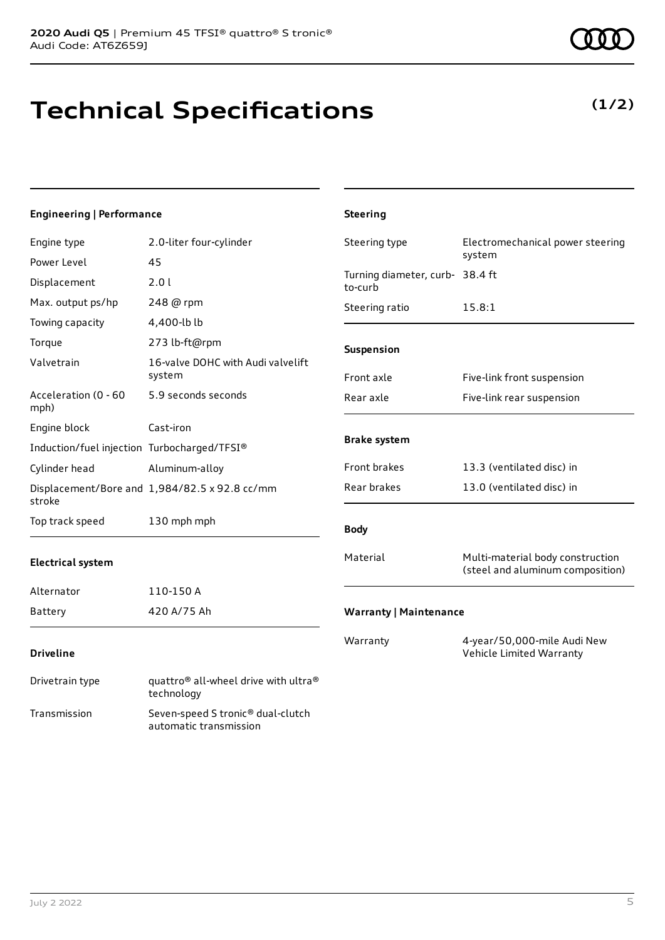Transmission Seven-speed S tronic® dual-clutch

automatic transmission

# **Technical Specifications**

### **Engineering | Performance**

| Engine type                                 | 2.0-liter four-cylinder                                                    | Steering type                              | Electromechanical power steering                                     |
|---------------------------------------------|----------------------------------------------------------------------------|--------------------------------------------|----------------------------------------------------------------------|
| Power Level                                 | 45                                                                         |                                            | system                                                               |
| Displacement                                | 2.0 l                                                                      | Turning diameter, curb- 38.4 ft<br>to-curb |                                                                      |
| Max. output ps/hp                           | 248 @ rpm                                                                  | Steering ratio                             | 15.8:1                                                               |
| Towing capacity                             | 4,400-lb lb                                                                |                                            |                                                                      |
| Torque                                      | 273 lb-ft@rpm                                                              | Suspension                                 |                                                                      |
| Valvetrain                                  | 16-valve DOHC with Audi valvelift<br>system                                | Front axle                                 | Five-link front suspension                                           |
| Acceleration (0 - 60<br>mph)                | 5.9 seconds seconds                                                        | Rear axle                                  | Five-link rear suspension                                            |
| Engine block                                | Cast-iron                                                                  |                                            |                                                                      |
| Induction/fuel injection Turbocharged/TFSI® |                                                                            | <b>Brake system</b>                        |                                                                      |
| Cylinder head                               | Aluminum-alloy                                                             | Front brakes                               | 13.3 (ventilated disc) in                                            |
| stroke                                      | Displacement/Bore and 1,984/82.5 x 92.8 cc/mm                              | Rear brakes                                | 13.0 (ventilated disc) in                                            |
| Top track speed                             | 130 mph mph                                                                | <b>Body</b>                                |                                                                      |
| <b>Electrical system</b>                    |                                                                            | Material                                   | Multi-material body construction<br>(steel and aluminum composition) |
| Alternator                                  | 110-150 A                                                                  |                                            |                                                                      |
| <b>Battery</b>                              | 420 A/75 Ah                                                                | <b>Warranty   Maintenance</b>              |                                                                      |
| <b>Driveline</b>                            |                                                                            | Warranty                                   | 4-year/50,000-mile Audi New<br>Vehicle Limited Warranty              |
| Drivetrain type                             | quattro <sup>®</sup> all-wheel drive with ultra <sup>®</sup><br>technology |                                            |                                                                      |

**Steering**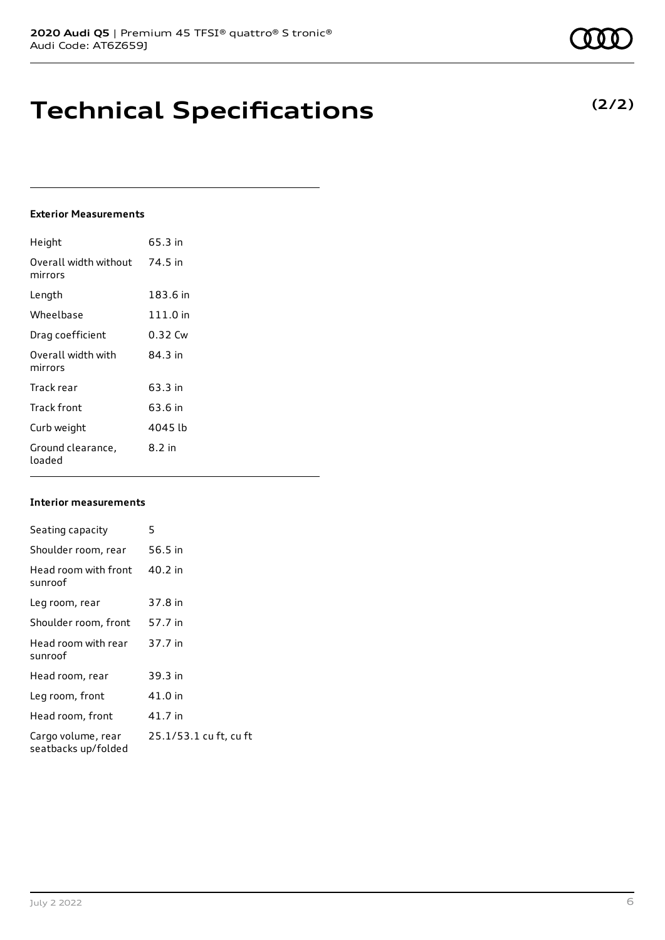## **Technical Specifications**

### **Exterior Measurements**

| Height                           | 65.3 in    |
|----------------------------------|------------|
| Overall width without<br>mirrors | 74.5 in    |
| Length                           | 183.6 in   |
| Wheelbase                        | $111.0$ in |
| Drag coefficient                 | 0.32 Cw    |
| Overall width with<br>mirrors    | 84.3 in    |
| Track rear                       | 63.3 in    |
| Track front                      | 63.6 in    |
| Curb weight                      | 4045 lb    |
| Ground clearance,<br>loaded      | 8.2 in     |

#### **Interior measurements**

| Seating capacity                          | 5                      |
|-------------------------------------------|------------------------|
| Shoulder room, rear                       | 56.5 in                |
| Head room with front<br>sunroof           | 40.2 in                |
| Leg room, rear                            | 37.8 in                |
| Shoulder room, front                      | 57.7 in                |
| Head room with rear<br>sunroof            | 37.7 in                |
| Head room, rear                           | 39.3 in                |
| Leg room, front                           | 41.0 in                |
| Head room, front                          | 41.7 in                |
| Cargo volume, rear<br>seatbacks up/folded | 25.1/53.1 cu ft, cu ft |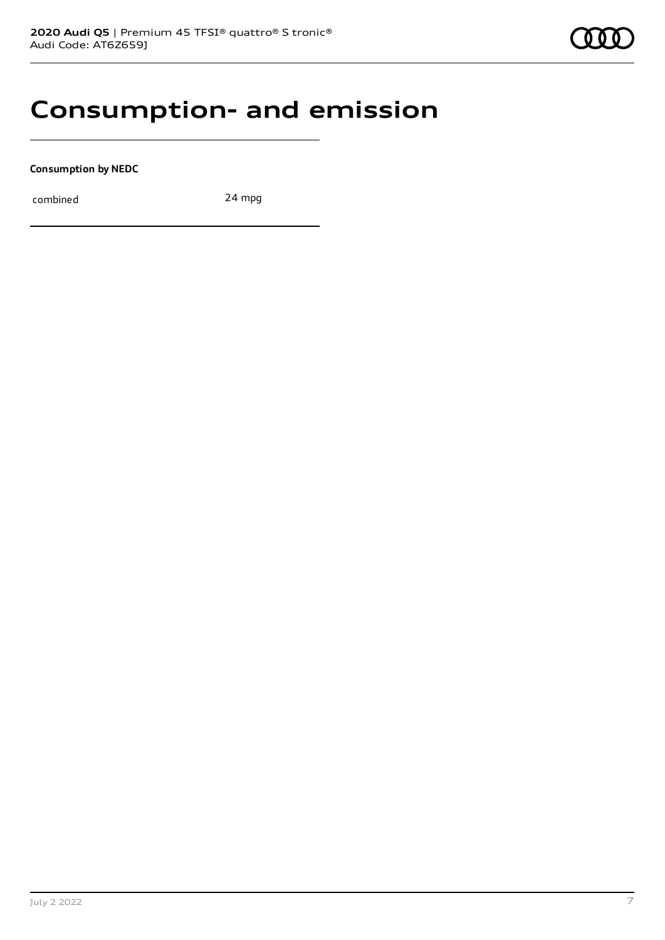### **Consumption- and emission**

**Consumption by NEDC**

combined 24 mpg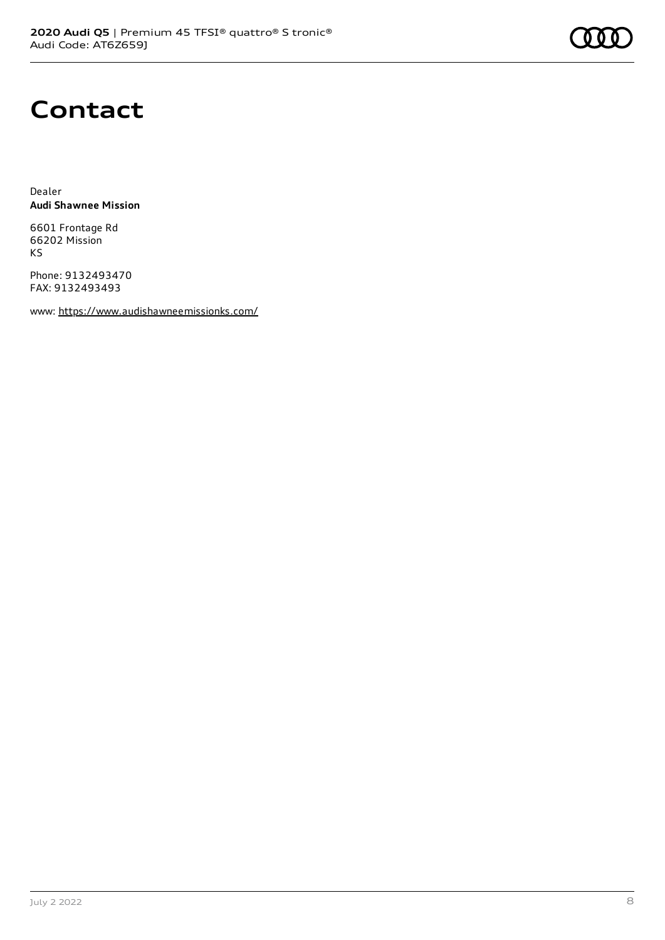## **Contact**

Dealer **Audi Shawnee Mission**

6601 Frontage Rd 66202 Mission KS

Phone: 9132493470 FAX: 9132493493

www: <https://www.audishawneemissionks.com/>